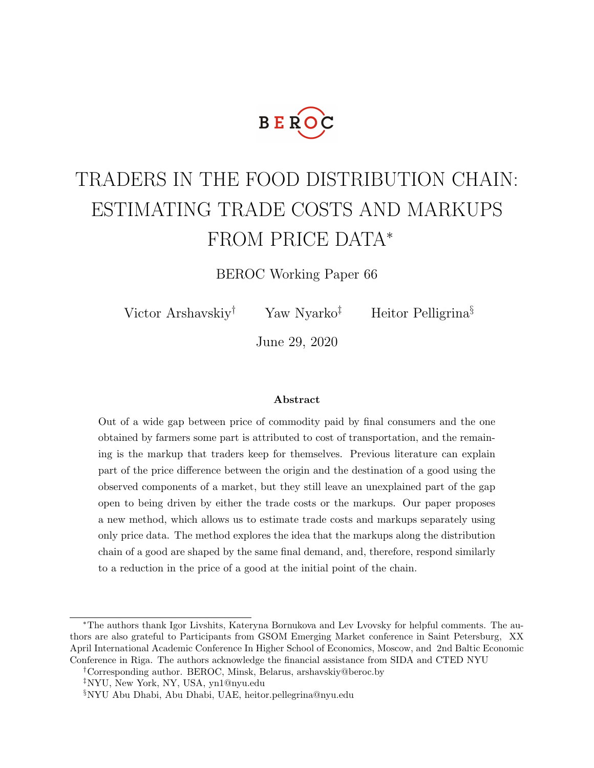

# TRADERS IN THE FOOD DISTRIBUTION CHAIN: ESTIMATING TRADE COSTS AND MARKUPS FROM PRICE DATA<sup>∗</sup>

BEROC Working Paper 66

Victor Arshavskiy<sup>†</sup> Yaw Nyarko<sup>‡</sup> Heitor Pelligrina<sup>§</sup>

June 29, 2020

#### Abstract

Out of a wide gap between price of commodity paid by final consumers and the one obtained by farmers some part is attributed to cost of transportation, and the remaining is the markup that traders keep for themselves. Previous literature can explain part of the price difference between the origin and the destination of a good using the observed components of a market, but they still leave an unexplained part of the gap open to being driven by either the trade costs or the markups. Our paper proposes a new method, which allows us to estimate trade costs and markups separately using only price data. The method explores the idea that the markups along the distribution chain of a good are shaped by the same final demand, and, therefore, respond similarly to a reduction in the price of a good at the initial point of the chain.

†Corresponding author. BEROC, Minsk, Belarus, arshavskiy@beroc.by

‡NYU, New York, NY, USA, yn1@nyu.edu

<sup>∗</sup>The authors thank Igor Livshits, Kateryna Bornukova and Lev Lvovsky for helpful comments. The authors are also grateful to Participants from GSOM Emerging Market conference in Saint Petersburg, XX April International Academic Conference In Higher School of Economics, Moscow, and 2nd Baltic Economic Conference in Riga. The authors acknowledge the financial assistance from SIDA and CTED NYU

<sup>§</sup>NYU Abu Dhabi, Abu Dhabi, UAE, heitor.pellegrina@nyu.edu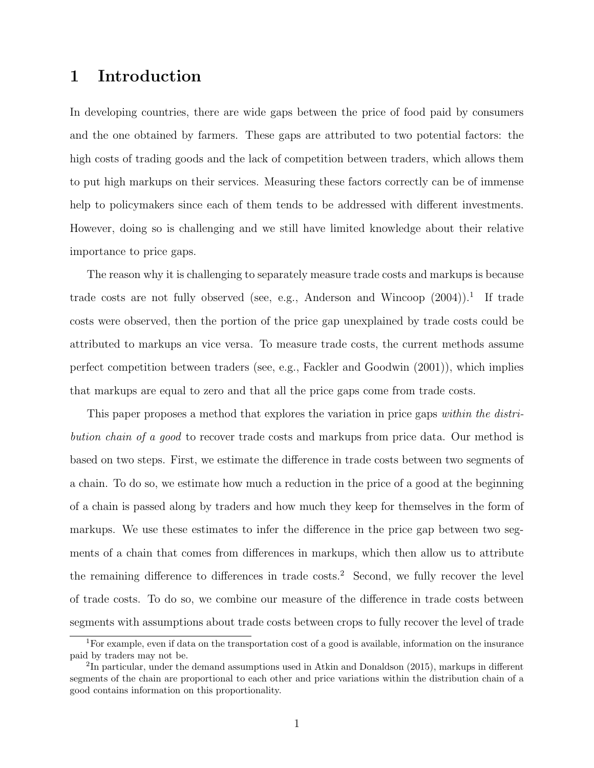# 1 Introduction

In developing countries, there are wide gaps between the price of food paid by consumers and the one obtained by farmers. These gaps are attributed to two potential factors: the high costs of trading goods and the lack of competition between traders, which allows them to put high markups on their services. Measuring these factors correctly can be of immense help to policymakers since each of them tends to be addressed with different investments. However, doing so is challenging and we still have limited knowledge about their relative importance to price gaps.

The reason why it is challenging to separately measure trade costs and markups is because trade costs are not fully observed (see, e.g., Anderson and Wincoop  $(2004)$ ).<sup>1</sup> If trade costs were observed, then the portion of the price gap unexplained by trade costs could be attributed to markups an vice versa. To measure trade costs, the current methods assume perfect competition between traders (see, e.g., Fackler and Goodwin (2001)), which implies that markups are equal to zero and that all the price gaps come from trade costs.

This paper proposes a method that explores the variation in price gaps within the distribution chain of a good to recover trade costs and markups from price data. Our method is based on two steps. First, we estimate the difference in trade costs between two segments of a chain. To do so, we estimate how much a reduction in the price of a good at the beginning of a chain is passed along by traders and how much they keep for themselves in the form of markups. We use these estimates to infer the difference in the price gap between two segments of a chain that comes from differences in markups, which then allow us to attribute the remaining difference to differences in trade costs.<sup>2</sup> Second, we fully recover the level of trade costs. To do so, we combine our measure of the difference in trade costs between segments with assumptions about trade costs between crops to fully recover the level of trade

<sup>&</sup>lt;sup>1</sup>For example, even if data on the transportation cost of a good is available, information on the insurance paid by traders may not be.

 ${}^{2}$ In particular, under the demand assumptions used in Atkin and Donaldson (2015), markups in different segments of the chain are proportional to each other and price variations within the distribution chain of a good contains information on this proportionality.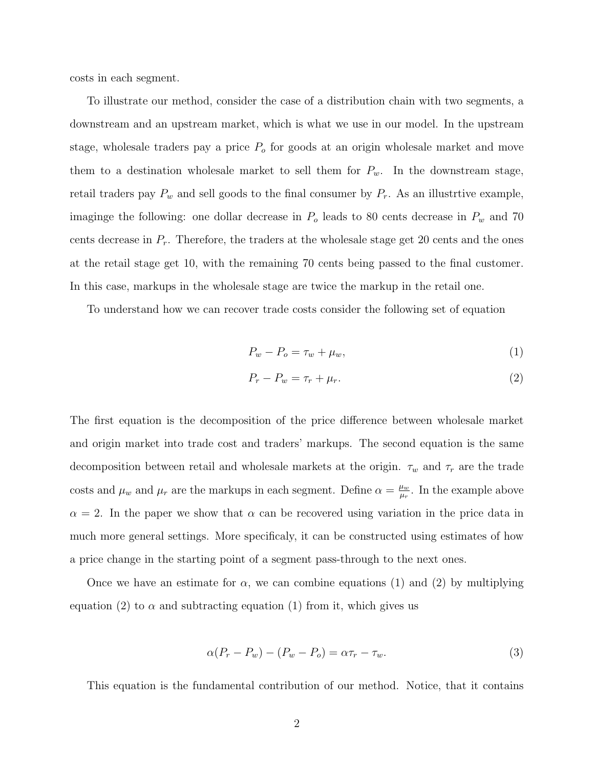costs in each segment.

To illustrate our method, consider the case of a distribution chain with two segments, a downstream and an upstream market, which is what we use in our model. In the upstream stage, wholesale traders pay a price  $P<sub>o</sub>$  for goods at an origin wholesale market and move them to a destination wholesale market to sell them for  $P_w$ . In the downstream stage, retail traders pay  $P_w$  and sell goods to the final consumer by  $P_r$ . As an illustrtive example, imaginge the following: one dollar decrease in  $P_o$  leads to 80 cents decrease in  $P_w$  and 70 cents decrease in  $P_r$ . Therefore, the traders at the wholesale stage get 20 cents and the ones at the retail stage get 10, with the remaining 70 cents being passed to the final customer. In this case, markups in the wholesale stage are twice the markup in the retail one.

To understand how we can recover trade costs consider the following set of equation

$$
P_w - P_o = \tau_w + \mu_w,\tag{1}
$$

$$
P_r - P_w = \tau_r + \mu_r. \tag{2}
$$

The first equation is the decomposition of the price difference between wholesale market and origin market into trade cost and traders' markups. The second equation is the same decomposition between retail and wholesale markets at the origin.  $\tau_w$  and  $\tau_r$  are the trade costs and  $\mu_w$  and  $\mu_r$  are the markups in each segment. Define  $\alpha = \frac{\mu_w}{\mu_s}$  $\frac{\mu_w}{\mu_r}$ . In the example above  $\alpha = 2$ . In the paper we show that  $\alpha$  can be recovered using variation in the price data in much more general settings. More specificaly, it can be constructed using estimates of how a price change in the starting point of a segment pass-through to the next ones.

Once we have an estimate for  $\alpha$ , we can combine equations (1) and (2) by multiplying equation (2) to  $\alpha$  and subtracting equation (1) from it, which gives us

$$
\alpha (P_r - P_w) - (P_w - P_o) = \alpha \tau_r - \tau_w. \tag{3}
$$

This equation is the fundamental contribution of our method. Notice, that it contains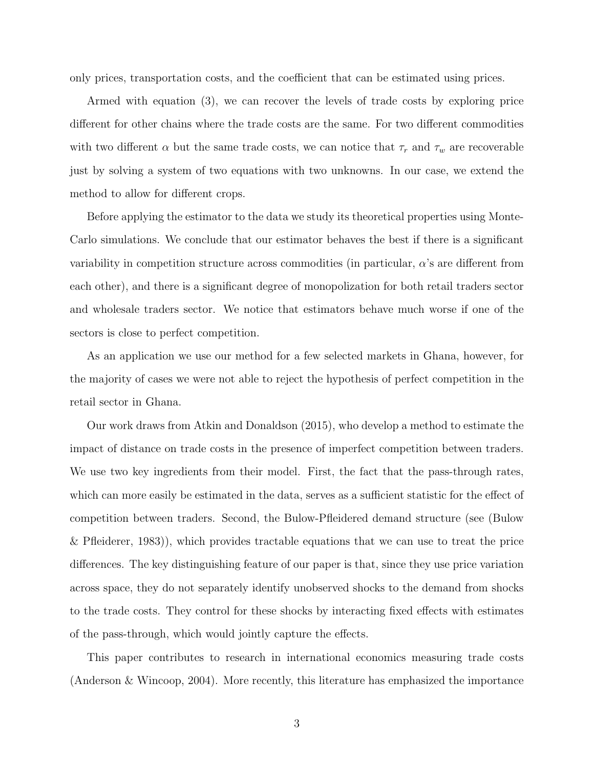only prices, transportation costs, and the coefficient that can be estimated using prices.

Armed with equation (3), we can recover the levels of trade costs by exploring price different for other chains where the trade costs are the same. For two different commodities with two different  $\alpha$  but the same trade costs, we can notice that  $\tau_r$  and  $\tau_w$  are recoverable just by solving a system of two equations with two unknowns. In our case, we extend the method to allow for different crops.

Before applying the estimator to the data we study its theoretical properties using Monte-Carlo simulations. We conclude that our estimator behaves the best if there is a significant variability in competition structure across commodities (in particular, α's are different from each other), and there is a significant degree of monopolization for both retail traders sector and wholesale traders sector. We notice that estimators behave much worse if one of the sectors is close to perfect competition.

As an application we use our method for a few selected markets in Ghana, however, for the majority of cases we were not able to reject the hypothesis of perfect competition in the retail sector in Ghana.

Our work draws from Atkin and Donaldson (2015), who develop a method to estimate the impact of distance on trade costs in the presence of imperfect competition between traders. We use two key ingredients from their model. First, the fact that the pass-through rates, which can more easily be estimated in the data, serves as a sufficient statistic for the effect of competition between traders. Second, the Bulow-Pfleidered demand structure (see (Bulow & Pfleiderer, 1983)), which provides tractable equations that we can use to treat the price differences. The key distinguishing feature of our paper is that, since they use price variation across space, they do not separately identify unobserved shocks to the demand from shocks to the trade costs. They control for these shocks by interacting fixed effects with estimates of the pass-through, which would jointly capture the effects.

This paper contributes to research in international economics measuring trade costs (Anderson & Wincoop, 2004). More recently, this literature has emphasized the importance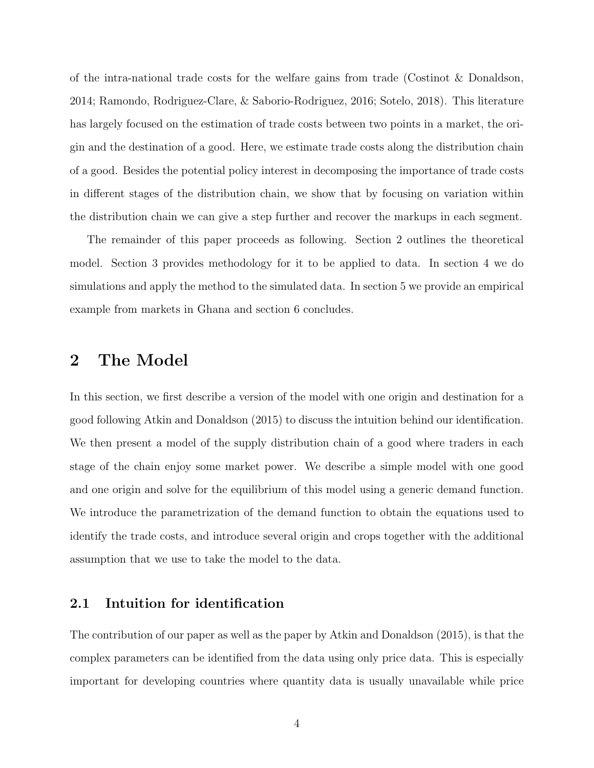of the intra-national trade costs for the welfare gains from trade (Costinot & Donaldson, 2014; Ramondo, Rodriguez-Clare, & Saborio-Rodriguez, 2016; Sotelo, 2018). This literature has largely focused on the estimation of trade costs between two points in a market, the origin and the destination of a good. Here, we estimate trade costs along the distribution chain of a good. Besides the potential policy interest in decomposing the importance of trade costs in different stages of the distribution chain, we show that by focusing on variation within the distribution chain we can give a step further and recover the markups in each segment.

The remainder of this paper proceeds as following. Section 2 outlines the theoretical model. Section 3 provides methodology for it to be applied to data. In section 4 we do simulations and apply the method to the simulated data. In section 5 we provide an empirical example from markets in Ghana and section 6 concludes.

## 2 The Model

In this section, we first describe a version of the model with one origin and destination for a good following Atkin and Donaldson (2015) to discuss the intuition behind our identification. We then present a model of the supply distribution chain of a good where traders in each stage of the chain enjoy some market power. We describe a simple model with one good and one origin and solve for the equilibrium of this model using a generic demand function. We introduce the parametrization of the demand function to obtain the equations used to identify the trade costs, and introduce several origin and crops together with the additional assumption that we use to take the model to the data.

#### 2.1 Intuition for identification

The contribution of our paper as well as the paper by Atkin and Donaldson (2015), is that the complex parameters can be identified from the data using only price data. This is especially important for developing countries where quantity data is usually unavailable while price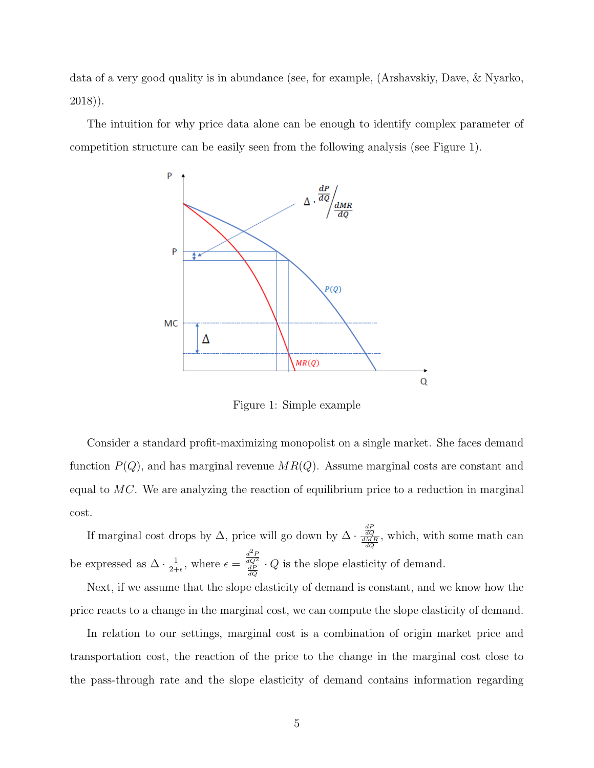data of a very good quality is in abundance (see, for example, (Arshavskiy, Dave, & Nyarko, 2018)).

The intuition for why price data alone can be enough to identify complex parameter of competition structure can be easily seen from the following analysis (see Figure 1).



Figure 1: Simple example

Consider a standard profit-maximizing monopolist on a single market. She faces demand function  $P(Q)$ , and has marginal revenue  $MR(Q)$ . Assume marginal costs are constant and equal to MC. We are analyzing the reaction of equilibrium price to a reduction in marginal cost.

If marginal cost drops by  $\Delta$ , price will go down by  $\Delta \cdot \frac{dQ}{dMR}$ , which, with some math can be expressed as  $\Delta \cdot \frac{1}{2+1}$  $\frac{1}{2+\epsilon}$ , where  $\epsilon = \frac{\frac{d^2P}{dQ^2}}{\frac{dP}{dQ}} \cdot Q$  is the slope elasticity of demand.

Next, if we assume that the slope elasticity of demand is constant, and we know how the price reacts to a change in the marginal cost, we can compute the slope elasticity of demand.

In relation to our settings, marginal cost is a combination of origin market price and transportation cost, the reaction of the price to the change in the marginal cost close to the pass-through rate and the slope elasticity of demand contains information regarding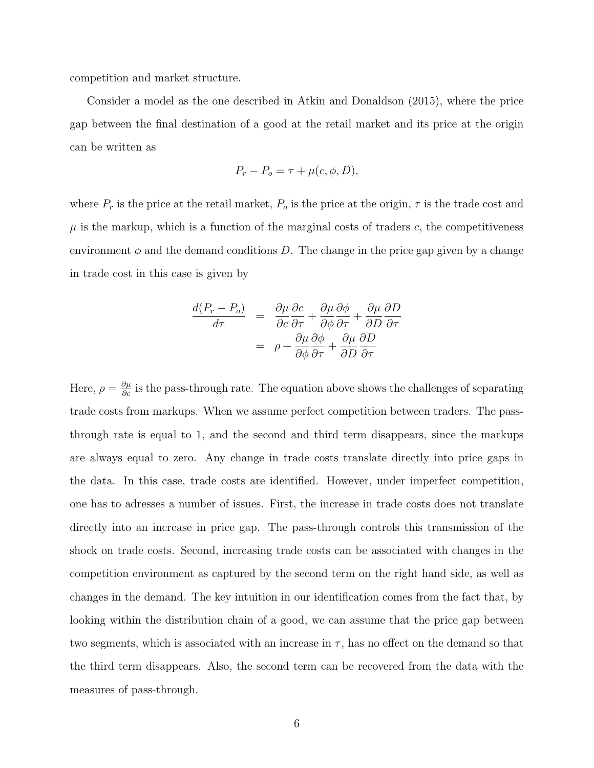competition and market structure.

Consider a model as the one described in Atkin and Donaldson (2015), where the price gap between the final destination of a good at the retail market and its price at the origin can be written as

$$
P_r - P_o = \tau + \mu(c, \phi, D),
$$

where  $P_r$  is the price at the retail market,  $P_o$  is the price at the origin,  $\tau$  is the trade cost and  $\mu$  is the markup, which is a function of the marginal costs of traders c, the competitiveness environment  $\phi$  and the demand conditions D. The change in the price gap given by a change in trade cost in this case is given by

$$
\frac{d(P_r - P_o)}{d\tau} = \frac{\partial \mu}{\partial c} \frac{\partial c}{\partial \tau} + \frac{\partial \mu}{\partial \phi} \frac{\partial \phi}{\partial \tau} + \frac{\partial \mu}{\partial D} \frac{\partial D}{\partial \tau} \n= \rho + \frac{\partial \mu}{\partial \phi} \frac{\partial \phi}{\partial \tau} + \frac{\partial \mu}{\partial D} \frac{\partial D}{\partial \tau}
$$

Here,  $\rho = \frac{\partial \mu}{\partial c}$  is the pass-through rate. The equation above shows the challenges of separating trade costs from markups. When we assume perfect competition between traders. The passthrough rate is equal to 1, and the second and third term disappears, since the markups are always equal to zero. Any change in trade costs translate directly into price gaps in the data. In this case, trade costs are identified. However, under imperfect competition, one has to adresses a number of issues. First, the increase in trade costs does not translate directly into an increase in price gap. The pass-through controls this transmission of the shock on trade costs. Second, increasing trade costs can be associated with changes in the competition environment as captured by the second term on the right hand side, as well as changes in the demand. The key intuition in our identification comes from the fact that, by looking within the distribution chain of a good, we can assume that the price gap between two segments, which is associated with an increase in  $\tau$ , has no effect on the demand so that the third term disappears. Also, the second term can be recovered from the data with the measures of pass-through.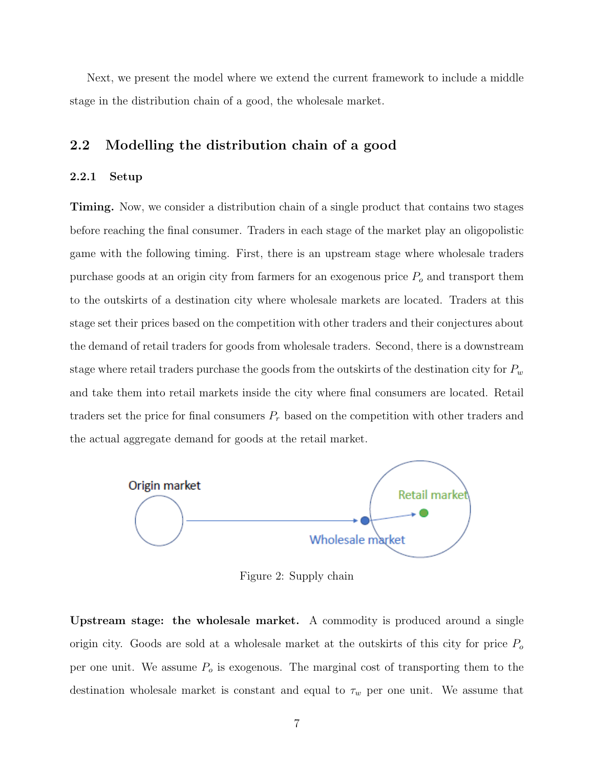Next, we present the model where we extend the current framework to include a middle stage in the distribution chain of a good, the wholesale market.

## 2.2 Modelling the distribution chain of a good

#### 2.2.1 Setup

Timing. Now, we consider a distribution chain of a single product that contains two stages before reaching the final consumer. Traders in each stage of the market play an oligopolistic game with the following timing. First, there is an upstream stage where wholesale traders purchase goods at an origin city from farmers for an exogenous price  $P<sub>o</sub>$  and transport them to the outskirts of a destination city where wholesale markets are located. Traders at this stage set their prices based on the competition with other traders and their conjectures about the demand of retail traders for goods from wholesale traders. Second, there is a downstream stage where retail traders purchase the goods from the outskirts of the destination city for  $P_w$ and take them into retail markets inside the city where final consumers are located. Retail traders set the price for final consumers  $P_r$  based on the competition with other traders and the actual aggregate demand for goods at the retail market.



Figure 2: Supply chain

Upstream stage: the wholesale market. A commodity is produced around a single origin city. Goods are sold at a wholesale market at the outskirts of this city for price  $P_o$ per one unit. We assume  $P<sub>o</sub>$  is exogenous. The marginal cost of transporting them to the destination wholesale market is constant and equal to  $\tau_w$  per one unit. We assume that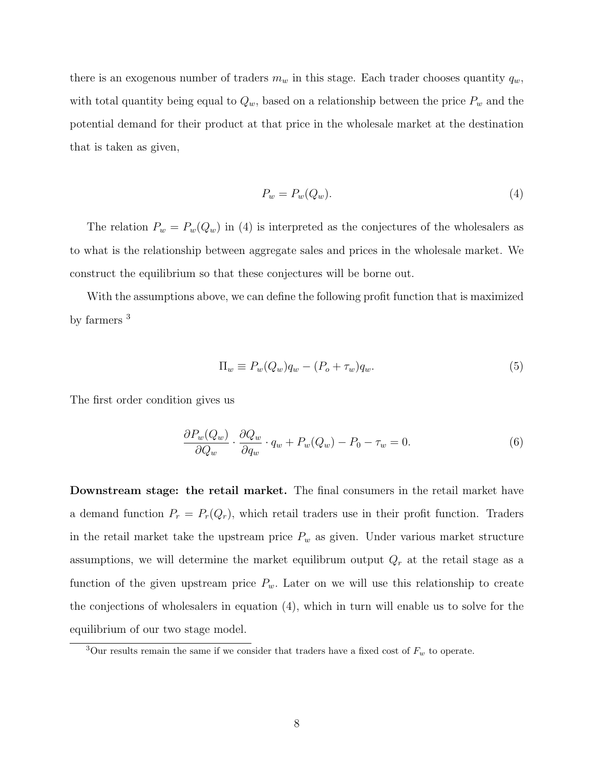there is an exogenous number of traders  $m_w$  in this stage. Each trader chooses quantity  $q_w$ , with total quantity being equal to  $Q_w$ , based on a relationship between the price  $P_w$  and the potential demand for their product at that price in the wholesale market at the destination that is taken as given,

$$
P_w = P_w(Q_w). \tag{4}
$$

The relation  $P_w = P_w(Q_w)$  in (4) is interpreted as the conjectures of the wholesalers as to what is the relationship between aggregate sales and prices in the wholesale market. We construct the equilibrium so that these conjectures will be borne out.

With the assumptions above, we can define the following profit function that is maximized by farmers <sup>3</sup>

$$
\Pi_w \equiv P_w(Q_w)q_w - (P_o + \tau_w)q_w. \tag{5}
$$

The first order condition gives us

$$
\frac{\partial P_w(Q_w)}{\partial Q_w} \cdot \frac{\partial Q_w}{\partial q_w} \cdot q_w + P_w(Q_w) - P_0 - \tau_w = 0.
$$
\n(6)

Downstream stage: the retail market. The final consumers in the retail market have a demand function  $P_r = P_r(Q_r)$ , which retail traders use in their profit function. Traders in the retail market take the upstream price  $P_w$  as given. Under various market structure assumptions, we will determine the market equilibrum output  $Q_r$  at the retail stage as a function of the given upstream price  $P_w$ . Later on we will use this relationship to create the conjections of wholesalers in equation (4), which in turn will enable us to solve for the equilibrium of our two stage model.

<sup>&</sup>lt;sup>3</sup>Our results remain the same if we consider that traders have a fixed cost of  $F_w$  to operate.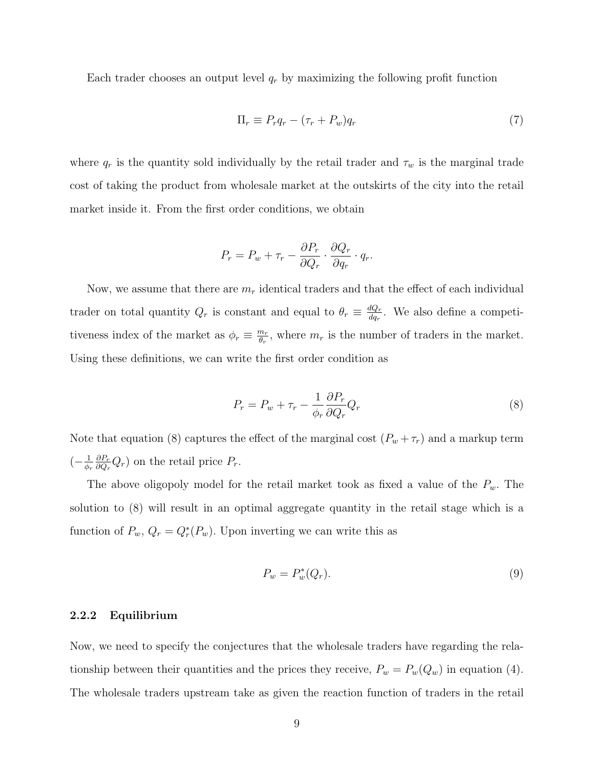Each trader chooses an output level  $q_r$  by maximizing the following profit function

$$
\Pi_r \equiv P_r q_r - (\tau_r + P_w) q_r \tag{7}
$$

where  $q_r$  is the quantity sold individually by the retail trader and  $\tau_w$  is the marginal trade cost of taking the product from wholesale market at the outskirts of the city into the retail market inside it. From the first order conditions, we obtain

$$
P_r = P_w + \tau_r - \frac{\partial P_r}{\partial Q_r} \cdot \frac{\partial Q_r}{\partial q_r} \cdot q_r.
$$

Now, we assume that there are  $m_r$  identical traders and that the effect of each individual trader on total quantity  $Q_r$  is constant and equal to  $\theta_r \equiv \frac{dQ_r}{da_r}$  $\frac{dQ_r}{dq_r}$ . We also define a competitiveness index of the market as  $\phi_r \equiv \frac{m_r}{\theta_r}$  $\frac{m_r}{\theta_r}$ , where  $m_r$  is the number of traders in the market. Using these definitions, we can write the first order condition as

$$
P_r = P_w + \tau_r - \frac{1}{\phi_r} \frac{\partial P_r}{\partial Q_r} Q_r \tag{8}
$$

Note that equation (8) captures the effect of the marginal cost  $(P_w + \tau_r)$  and a markup term  $\left(-\frac{1}{\phi}\right)$  $\phi_r$  $\partial P_r$  $\frac{\partial P_r}{\partial Q_r} Q_r$  on the retail price  $P_r$ .

The above oligopoly model for the retail market took as fixed a value of the  $P_w$ . The solution to (8) will result in an optimal aggregate quantity in the retail stage which is a function of  $P_w$ ,  $Q_r = Q_r^*(P_w)$ . Upon inverting we can write this as

$$
P_w = P_w^*(Q_r). \tag{9}
$$

#### 2.2.2 Equilibrium

Now, we need to specify the conjectures that the wholesale traders have regarding the relationship between their quantities and the prices they receive,  $P_w = P_w(Q_w)$  in equation (4). The wholesale traders upstream take as given the reaction function of traders in the retail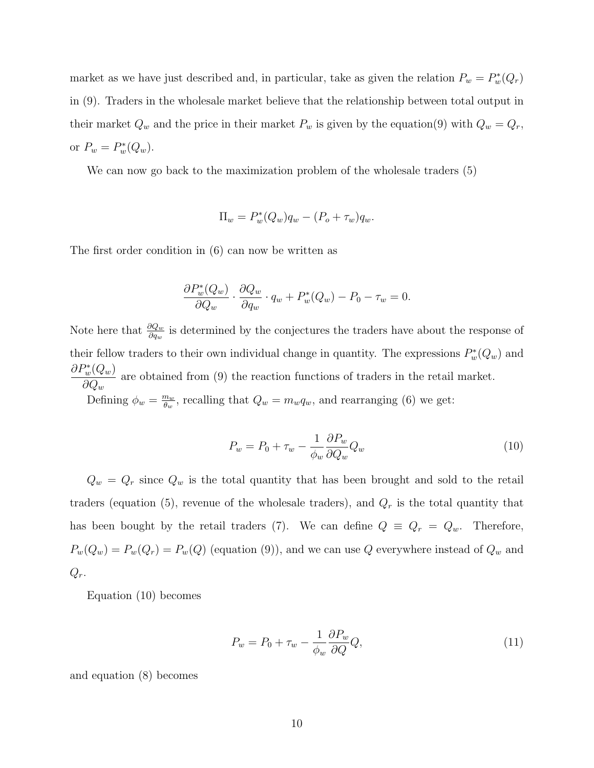market as we have just described and, in particular, take as given the relation  $P_w = P_w^*(Q_r)$ in (9). Traders in the wholesale market believe that the relationship between total output in their market  $Q_w$  and the price in their market  $P_w$  is given by the equation(9) with  $Q_w = Q_r$ , or  $P_w = P_w^*(Q_w)$ .

We can now go back to the maximization problem of the wholesale traders (5)

$$
\Pi_w = P_w^*(Q_w)q_w - (P_o + \tau_w)q_w.
$$

The first order condition in (6) can now be written as

$$
\frac{\partial P_w^*(Q_w)}{\partial Q_w} \cdot \frac{\partial Q_w}{\partial q_w} \cdot q_w + P_w^*(Q_w) - P_0 - \tau_w = 0.
$$

Note here that  $\frac{\partial Q_w}{\partial q_w}$  is determined by the conjectures the traders have about the response of their fellow traders to their own individual change in quantity. The expressions  $P_w^*(Q_w)$  and  $\partial P^*_w(Q_w)$  $\partial Q_w$ are obtained from (9) the reaction functions of traders in the retail market. Defining  $\phi_w = \frac{m_w}{\theta_w}$  $\frac{m_w}{\theta_w}$ , recalling that  $Q_w = m_w q_w$ , and rearranging (6) we get:

$$
P_w = P_0 + \tau_w - \frac{1}{\phi_w} \frac{\partial P_w}{\partial Q_w} Q_w \tag{10}
$$

 $Q_w = Q_r$  since  $Q_w$  is the total quantity that has been brought and sold to the retail traders (equation (5), revenue of the wholesale traders), and  $Q_r$  is the total quantity that has been bought by the retail traders (7). We can define  $Q \equiv Q_r = Q_w$ . Therefore,  $P_w(Q_w) = P_w(Q_r) = P_w(Q)$  (equation (9)), and we can use Q everywhere instead of  $Q_w$  and  $Q_r$ .

Equation (10) becomes

$$
P_w = P_0 + \tau_w - \frac{1}{\phi_w} \frac{\partial P_w}{\partial Q} Q,\tag{11}
$$

and equation (8) becomes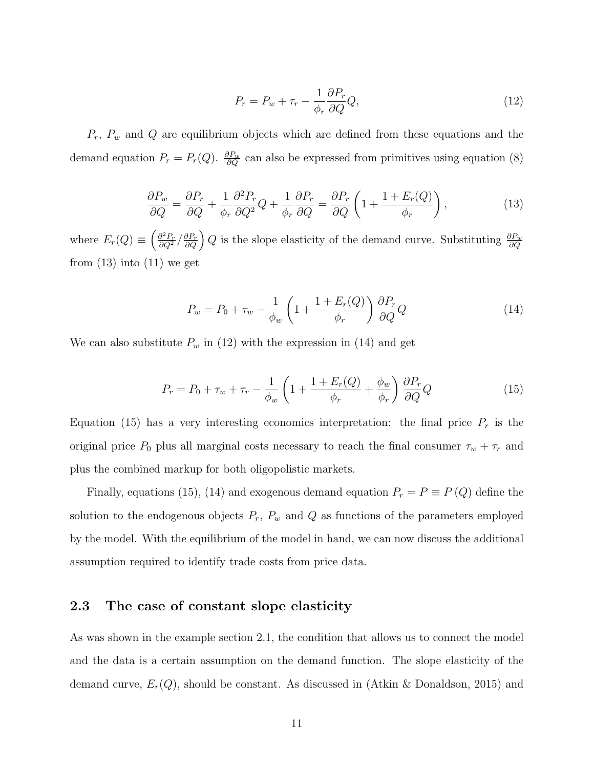$$
P_r = P_w + \tau_r - \frac{1}{\phi_r} \frac{\partial P_r}{\partial Q} Q,\tag{12}
$$

 $P_r$ ,  $P_w$  and  $Q$  are equilibrium objects which are defined from these equations and the demand equation  $P_r = P_r(Q)$ .  $\frac{\partial P_w}{\partial Q}$  can also be expressed from primitives using equation (8)

$$
\frac{\partial P_w}{\partial Q} = \frac{\partial P_r}{\partial Q} + \frac{1}{\phi_r} \frac{\partial^2 P_r}{\partial Q^2} Q + \frac{1}{\phi_r} \frac{\partial P_r}{\partial Q} = \frac{\partial P_r}{\partial Q} \left( 1 + \frac{1 + E_r(Q)}{\phi_r} \right),\tag{13}
$$

where  $E_r(Q) \equiv \left(\frac{\partial^2 P_r}{\partial Q^2}/\frac{\partial P_r}{\partial Q}\right) Q$  is the slope elasticity of the demand curve. Substituting  $\frac{\partial P_w}{\partial Q}$ from  $(13)$  into  $(11)$  we get

$$
P_w = P_0 + \tau_w - \frac{1}{\phi_w} \left( 1 + \frac{1 + E_r(Q)}{\phi_r} \right) \frac{\partial P_r}{\partial Q} Q \tag{14}
$$

We can also substitute  $P_w$  in (12) with the expression in (14) and get

$$
P_r = P_0 + \tau_w + \tau_r - \frac{1}{\phi_w} \left( 1 + \frac{1 + E_r(Q)}{\phi_r} + \frac{\phi_w}{\phi_r} \right) \frac{\partial P_r}{\partial Q} Q \tag{15}
$$

Equation (15) has a very interesting economics interpretation: the final price  $P_r$  is the original price  $P_0$  plus all marginal costs necessary to reach the final consumer  $\tau_w + \tau_r$  and plus the combined markup for both oligopolistic markets.

Finally, equations (15), (14) and exogenous demand equation  $P_r = P \equiv P(Q)$  define the solution to the endogenous objects  $P_r$ ,  $P_w$  and  $Q$  as functions of the parameters employed by the model. With the equilibrium of the model in hand, we can now discuss the additional assumption required to identify trade costs from price data.

#### 2.3 The case of constant slope elasticity

As was shown in the example section 2.1, the condition that allows us to connect the model and the data is a certain assumption on the demand function. The slope elasticity of the demand curve,  $E_r(Q)$ , should be constant. As discussed in (Atkin & Donaldson, 2015) and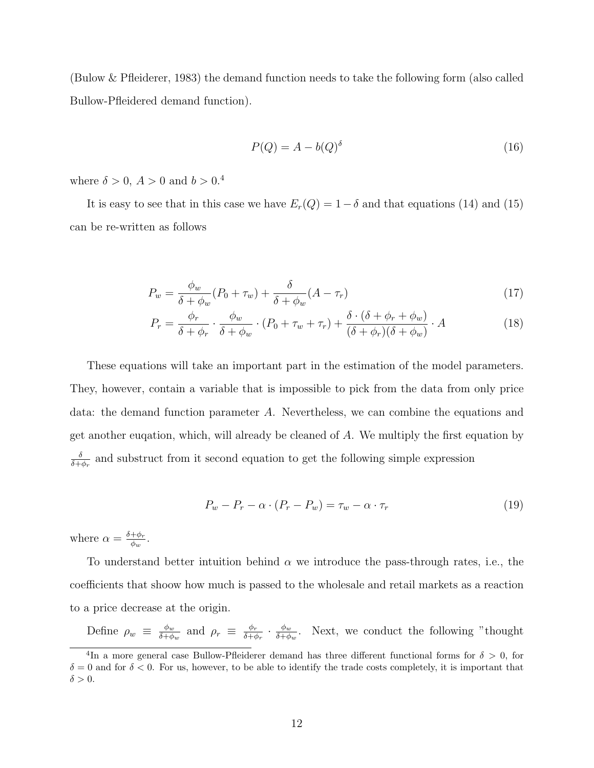(Bulow & Pfleiderer, 1983) the demand function needs to take the following form (also called Bullow-Pfleidered demand function).

$$
P(Q) = A - b(Q)^{\delta} \tag{16}
$$

where  $\delta > 0$ ,  $A > 0$  and  $b > 0$ .<sup>4</sup>

It is easy to see that in this case we have  $E_r(Q) = 1-\delta$  and that equations (14) and (15) can be re-written as follows

$$
P_w = \frac{\phi_w}{\delta + \phi_w} (P_0 + \tau_w) + \frac{\delta}{\delta + \phi_w} (A - \tau_r)
$$
\n(17)

$$
P_r = \frac{\phi_r}{\delta + \phi_r} \cdot \frac{\phi_w}{\delta + \phi_w} \cdot (P_0 + \tau_w + \tau_r) + \frac{\delta \cdot (\delta + \phi_r + \phi_w)}{(\delta + \phi_r)(\delta + \phi_w)} \cdot A \tag{18}
$$

These equations will take an important part in the estimation of the model parameters. They, however, contain a variable that is impossible to pick from the data from only price data: the demand function parameter A. Nevertheless, we can combine the equations and get another euqation, which, will already be cleaned of A. We multiply the first equation by δ  $\frac{\delta}{\delta + \phi_r}$  and substruct from it second equation to get the following simple expression

$$
P_w - P_r - \alpha \cdot (P_r - P_w) = \tau_w - \alpha \cdot \tau_r \tag{19}
$$

where  $\alpha = \frac{\delta + \phi_r}{\phi}$  $\frac{+\phi_r}{\phi_w}.$ 

To understand better intuition behind  $\alpha$  we introduce the pass-through rates, i.e., the coefficients that shoow how much is passed to the wholesale and retail markets as a reaction to a price decrease at the origin.

Define  $\rho_w \equiv \frac{\phi_w}{\delta + \phi}$  $\frac{\phi_w}{\delta + \phi_w}$  and  $\rho_r \equiv \frac{\phi_r}{\delta + q}$  $\frac{\phi_r}{\delta + \phi_r} \cdot \frac{\phi_w}{\delta + \phi}$  $\frac{\phi_w}{\delta + \phi_w}$ . Next, we conduct the following "thought

<sup>&</sup>lt;sup>4</sup>In a more general case Bullow-Pfleiderer demand has three different functional forms for  $\delta > 0$ , for  $\delta = 0$  and for  $\delta < 0$ . For us, however, to be able to identify the trade costs completely, it is important that  $\delta > 0$ .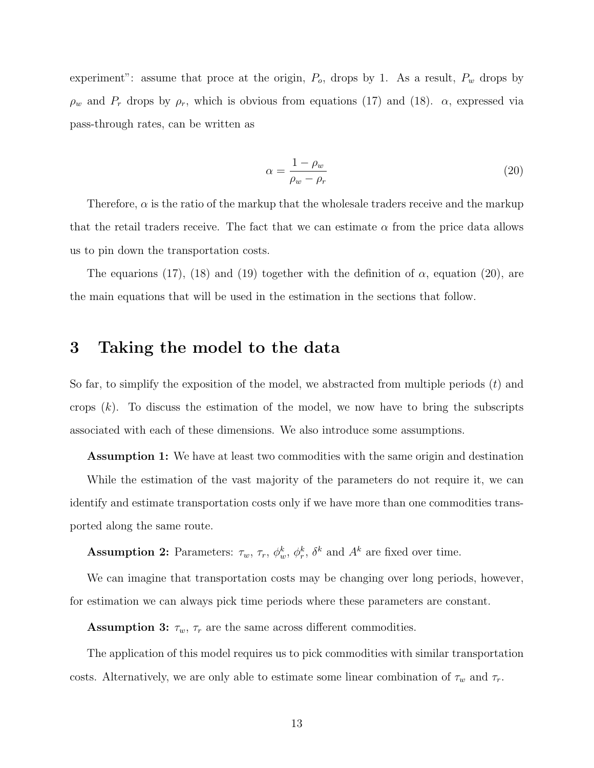experiment": assume that proce at the origin,  $P_o$ , drops by 1. As a result,  $P_w$  drops by  $\rho_w$  and  $P_r$  drops by  $\rho_r$ , which is obvious from equations (17) and (18).  $\alpha$ , expressed via pass-through rates, can be written as

$$
\alpha = \frac{1 - \rho_w}{\rho_w - \rho_r} \tag{20}
$$

Therefore,  $\alpha$  is the ratio of the markup that the wholesale traders receive and the markup that the retail traders receive. The fact that we can estimate  $\alpha$  from the price data allows us to pin down the transportation costs.

The equarions (17), (18) and (19) together with the definition of  $\alpha$ , equation (20), are the main equations that will be used in the estimation in the sections that follow.

## 3 Taking the model to the data

So far, to simplify the exposition of the model, we abstracted from multiple periods  $(t)$  and crops  $(k)$ . To discuss the estimation of the model, we now have to bring the subscripts associated with each of these dimensions. We also introduce some assumptions.

Assumption 1: We have at least two commodities with the same origin and destination While the estimation of the vast majority of the parameters do not require it, we can identify and estimate transportation costs only if we have more than one commodities transported along the same route.

**Assumption 2:** Parameters:  $\tau_w$ ,  $\tau_r$ ,  $\phi_w^k$ ,  $\phi_r^k$ ,  $\delta^k$  and  $A^k$  are fixed over time.

We can imagine that transportation costs may be changing over long periods, however, for estimation we can always pick time periods where these parameters are constant.

**Assumption 3:**  $\tau_w$ ,  $\tau_r$  are the same across different commodities.

The application of this model requires us to pick commodities with similar transportation costs. Alternatively, we are only able to estimate some linear combination of  $\tau_w$  and  $\tau_r$ .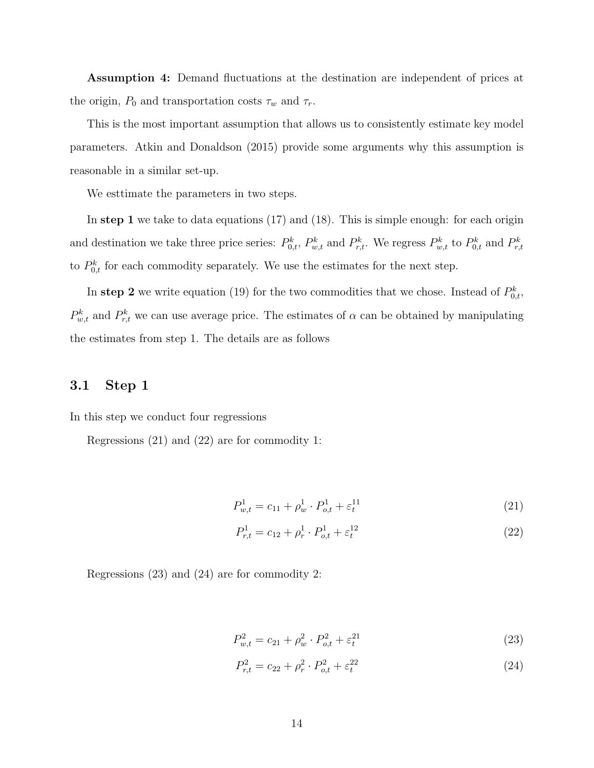Assumption 4: Demand fluctuations at the destination are independent of prices at the origin,  $P_0$  and transportation costs  $\tau_w$  and  $\tau_r$ .

This is the most important assumption that allows us to consistently estimate key model parameters. Atkin and Donaldson (2015) provide some arguments why this assumption is reasonable in a similar set-up.

We esttimate the parameters in two steps.

In step 1 we take to data equations  $(17)$  and  $(18)$ . This is simple enough: for each origin and destination we take three price series:  $P_{0,t}^k$ ,  $P_{w,t}^k$  and  $P_{r,t}^k$ . We regress  $P_{w,t}^k$  to  $P_{0,t}^k$  and  $P_{r,t}^k$ to  $P_{0,t}^k$  for each commodity separately. We use the estimates for the next step.

In step 2 we write equation (19) for the two commodities that we chose. Instead of  $P_{0,t}^k$ ,  $P_{w,t}^k$  and  $P_{r,t}^k$  we can use average price. The estimates of  $\alpha$  can be obtained by manipulating the estimates from step 1. The details are as follows

## 3.1 Step 1

In this step we conduct four regressions

Regressions (21) and (22) are for commodity 1:

$$
P_{w,t}^1 = c_{11} + \rho_w^1 \cdot P_{o,t}^1 + \varepsilon_t^{11} \tag{21}
$$

$$
P_{r,t}^1 = c_{12} + \rho_r^1 \cdot P_{o,t}^1 + \varepsilon_t^{12} \tag{22}
$$

Regressions (23) and (24) are for commodity 2:

$$
P_{w,t}^2 = c_{21} + \rho_w^2 \cdot P_{o,t}^2 + \varepsilon_t^{21} \tag{23}
$$

$$
P_{r,t}^2 = c_{22} + \rho_r^2 \cdot P_{o,t}^2 + \varepsilon_t^{22} \tag{24}
$$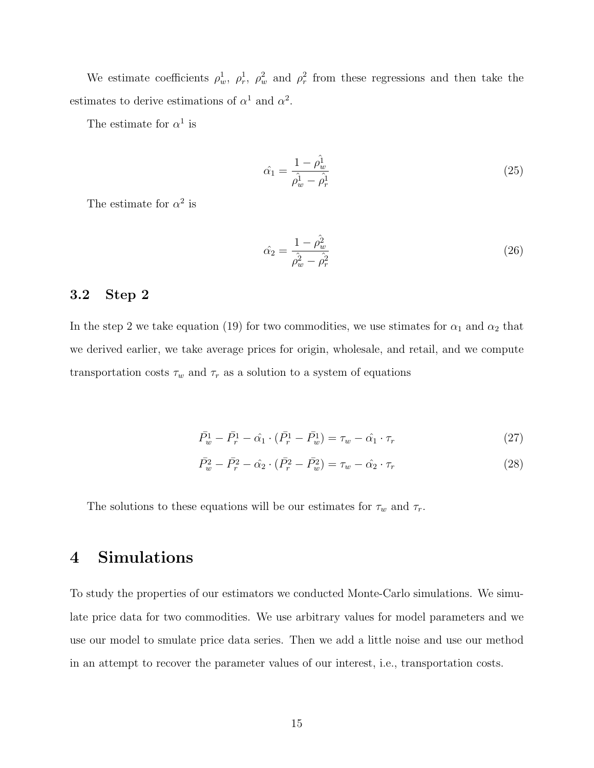We estimate coefficients  $\rho_w^1$ ,  $\rho_r^1$ ,  $\rho_w^2$  and  $\rho_r^2$  from these regressions and then take the estimates to derive estimations of  $\alpha^1$  and  $\alpha^2$ .

The estimate for  $\alpha^1$  is

$$
\hat{\alpha_1} = \frac{1 - \hat{\rho_w^1}}{\hat{\rho_w^1} - \hat{\rho_r^1}}
$$
\n(25)

The estimate for  $\alpha^2$  is

$$
\hat{\alpha_2} = \frac{1 - \hat{\rho_w^2}}{\hat{\rho_w^2} - \hat{\rho_r^2}}
$$
\n(26)

## 3.2 Step 2

In the step 2 we take equation (19) for two commodities, we use stimates for  $\alpha_1$  and  $\alpha_2$  that we derived earlier, we take average prices for origin, wholesale, and retail, and we compute transportation costs  $\tau_w$  and  $\tau_r$  as a solution to a system of equations

$$
\bar{P}_w^1 - \bar{P}_r^1 - \hat{\alpha}_1 \cdot (\bar{P}_r^1 - \bar{P}_w^1) = \tau_w - \hat{\alpha}_1 \cdot \tau_r \tag{27}
$$

$$
\bar{P}_w^2 - \bar{P}_r^2 - \hat{\alpha}_2 \cdot (\bar{P}_r^2 - \bar{P}_w^2) = \tau_w - \hat{\alpha}_2 \cdot \tau_r \tag{28}
$$

The solutions to these equations will be our estimates for  $\tau_w$  and  $\tau_r$ .

# 4 Simulations

To study the properties of our estimators we conducted Monte-Carlo simulations. We simulate price data for two commodities. We use arbitrary values for model parameters and we use our model to smulate price data series. Then we add a little noise and use our method in an attempt to recover the parameter values of our interest, i.e., transportation costs.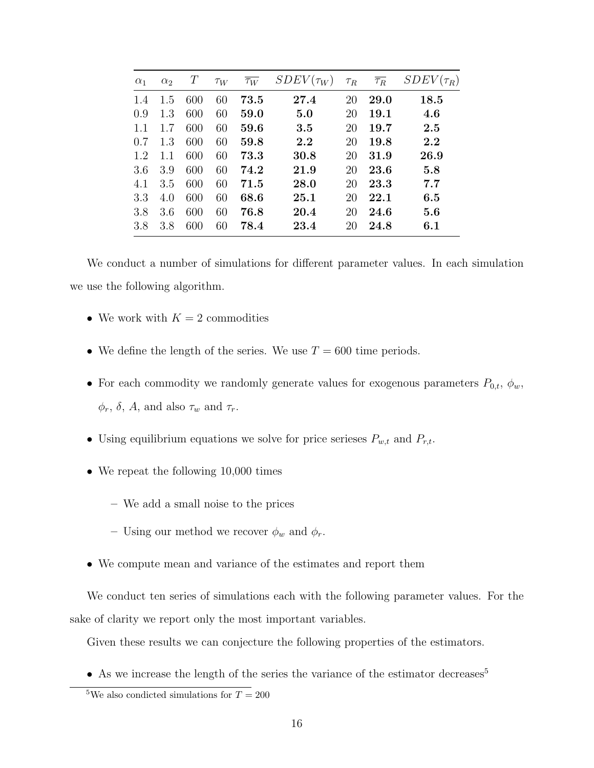| $\alpha_1$ | $\alpha_2$ | $\, T \,$ | $\tau_W$ | $\overline{\tau_W}$ | $SDEV(\tau_W)$ | $\tau_R$ | $\overline{\tau_R}$ | $SDEV(\tau_R)$ |
|------------|------------|-----------|----------|---------------------|----------------|----------|---------------------|----------------|
| 1.4        | 1.5        | 600       | 60       | 73.5                | 27.4           | 20       | <b>29.0</b>         | 18.5           |
| 0.9        | 1.3        | 600       | 60       | 59.0                | 5.0            | 20       | 19.1                | 4.6            |
| 1.1        | 1.7        | 600       | 60       | 59.6                | 3.5            | 20       | 19.7                | 2.5            |
| 0.7        | 1.3        | 600       | 60       | 59.8                | 2.2            | 20       | 19.8                | 2.2            |
| 1.2        | 1.1        | 600       | 60       | 73.3                | 30.8           | 20       | 31.9                | 26.9           |
| 3.6        | 3.9        | 600       | 60       | 74.2                | 21.9           | 20       | 23.6                | 5.8            |
| 4.1        | 3.5        | 600       | 60       | 71.5                | 28.0           | 20       | 23.3                | 7.7            |
| 3.3        | 4.0        | 600       | 60       | 68.6                | $25.1\,$       | 20       | 22.1                | 6.5            |
| 3.8        | 3.6        | 600       | 60       | 76.8                | 20.4           | 20       | 24.6                | 5.6            |
| 3.8        | 3.8        | 600       | 60       | 78.4                | 23.4           | 20       | 24.8                | 6.1            |

We conduct a number of simulations for different parameter values. In each simulation we use the following algorithm.

- We work with  $K = 2$  commodities
- We define the length of the series. We use  $T = 600$  time periods.
- For each commodity we randomly generate values for exogenous parameters  $P_{0,t}$ ,  $\phi_w$ ,  $\phi_r$ ,  $\delta$ , A, and also  $\tau_w$  and  $\tau_r$ .
- Using equilibrium equations we solve for price serieses  $P_{w,t}$  and  $P_{r,t}.$
- We repeat the following 10,000 times
	- We add a small noise to the prices
	- Using our method we recover  $\phi_w$  and  $\phi_r$ .
- We compute mean and variance of the estimates and report them

We conduct ten series of simulations each with the following parameter values. For the sake of clarity we report only the most important variables.

Given these results we can conjecture the following properties of the estimators.

• As we increase the length of the series the variance of the estimator decreases<sup>5</sup>

<sup>&</sup>lt;sup>5</sup>We also condicted simulations for  $T = 200$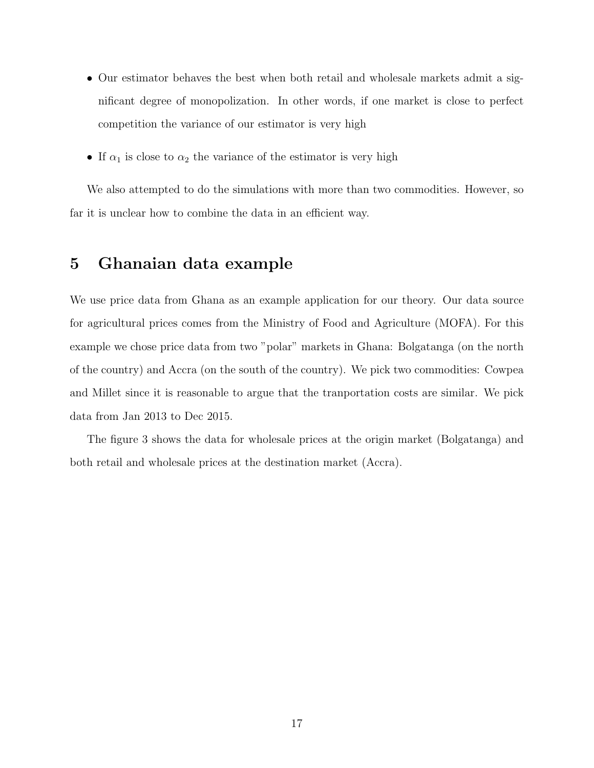- Our estimator behaves the best when both retail and wholesale markets admit a significant degree of monopolization. In other words, if one market is close to perfect competition the variance of our estimator is very high
- If  $\alpha_1$  is close to  $\alpha_2$  the variance of the estimator is very high

We also attempted to do the simulations with more than two commodities. However, so far it is unclear how to combine the data in an efficient way.

## 5 Ghanaian data example

We use price data from Ghana as an example application for our theory. Our data source for agricultural prices comes from the Ministry of Food and Agriculture (MOFA). For this example we chose price data from two "polar" markets in Ghana: Bolgatanga (on the north of the country) and Accra (on the south of the country). We pick two commodities: Cowpea and Millet since it is reasonable to argue that the tranportation costs are similar. We pick data from Jan 2013 to Dec 2015.

The figure 3 shows the data for wholesale prices at the origin market (Bolgatanga) and both retail and wholesale prices at the destination market (Accra).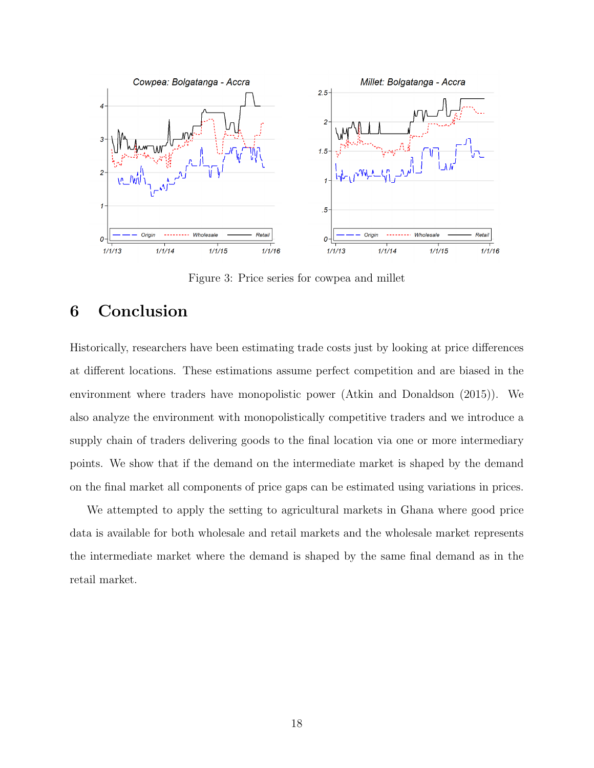

Figure 3: Price series for cowpea and millet

# 6 Conclusion

Historically, researchers have been estimating trade costs just by looking at price differences at different locations. These estimations assume perfect competition and are biased in the environment where traders have monopolistic power (Atkin and Donaldson (2015)). We also analyze the environment with monopolistically competitive traders and we introduce a supply chain of traders delivering goods to the final location via one or more intermediary points. We show that if the demand on the intermediate market is shaped by the demand on the final market all components of price gaps can be estimated using variations in prices.

We attempted to apply the setting to agricultural markets in Ghana where good price data is available for both wholesale and retail markets and the wholesale market represents the intermediate market where the demand is shaped by the same final demand as in the retail market.